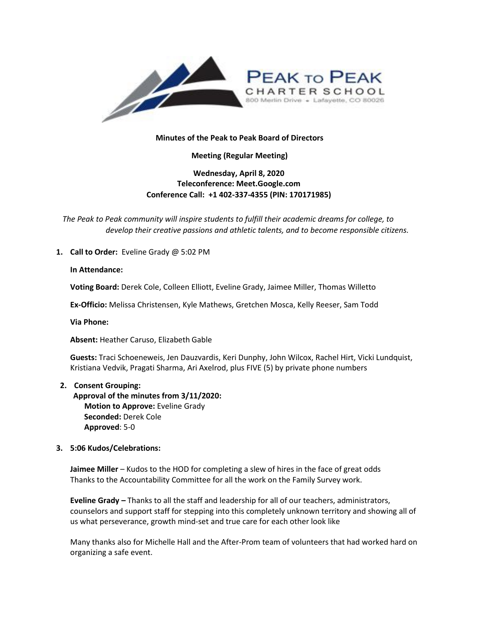

## **Minutes of the Peak to Peak Board of Directors**

**Meeting (Regular Meeting)**

# **Wednesday, April 8, 2020 Teleconference: Meet.Google.com Conference Call: +1 402-337-4355 (PIN: 170171985)**

*The Peak to Peak community will inspire students to fulfill their academic dreams for college, to develop their creative passions and athletic talents, and to become responsible citizens.*

**1. Call to Order:** Eveline Grady @ 5:02 PM

### **In Attendance:**

**Voting Board:** Derek Cole, Colleen Elliott, Eveline Grady, Jaimee Miller, Thomas Willetto

**Ex-Officio:** Melissa Christensen, Kyle Mathews, Gretchen Mosca, Kelly Reeser, Sam Todd

**Via Phone:**

**Absent:** Heather Caruso, Elizabeth Gable

**Guests:** Traci Schoeneweis, Jen Dauzvardis, Keri Dunphy, John Wilcox, Rachel Hirt, Vicki Lundquist, Kristiana Vedvik, Pragati Sharma, Ari Axelrod, plus FIVE (5) by private phone numbers

### **2. Consent Grouping:**

**Approval of the minutes from 3/11/2020: Motion to Approve:** Eveline Grady **Seconded:** Derek Cole **Approved**: 5-0

### **3. 5:06 Kudos/Celebrations:**

**Jaimee Miller** – Kudos to the HOD for completing a slew of hires in the face of great odds Thanks to the Accountability Committee for all the work on the Family Survey work.

**Eveline Grady –** Thanks to all the staff and leadership for all of our teachers, administrators, counselors and support staff for stepping into this completely unknown territory and showing all of us what perseverance, growth mind-set and true care for each other look like

Many thanks also for Michelle Hall and the After-Prom team of volunteers that had worked hard on organizing a safe event.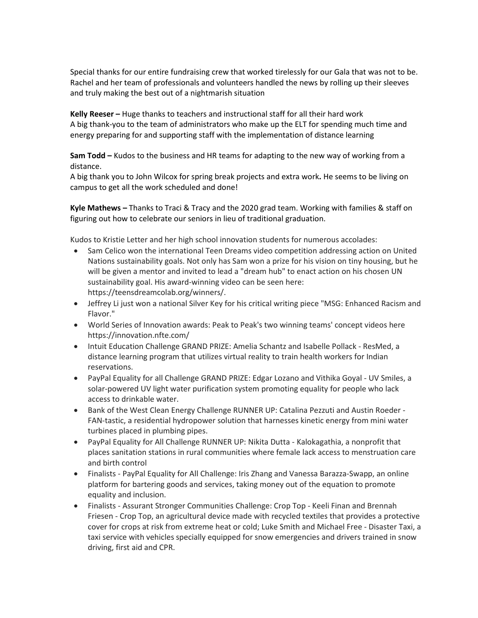Special thanks for our entire fundraising crew that worked tirelessly for our Gala that was not to be. Rachel and her team of professionals and volunteers handled the news by rolling up their sleeves and truly making the best out of a nightmarish situation

**Kelly Reeser –** Huge thanks to teachers and instructional staff for all their hard work A big thank-you to the team of administrators who make up the ELT for spending much time and energy preparing for and supporting staff with the implementation of distance learning

**Sam Todd –** Kudos to the business and HR teams for adapting to the new way of working from a distance.

A big thank you to John Wilcox for spring break projects and extra work**.** He seems to be living on campus to get all the work scheduled and done!

**Kyle Mathews –** Thanks to Traci & Tracy and the 2020 grad team. Working with families & staff on figuring out how to celebrate our seniors in lieu of traditional graduation.

Kudos to Kristie Letter and her high school innovation students for numerous accolades:

- Sam Celico won the international Teen Dreams video competition addressing action on United Nations sustainability goals. Not only has Sam won a prize for his vision on tiny housing, but he will be given a mentor and invited to lead a "dream hub" to enact action on his chosen UN sustainability goal. His award-winning video can be seen here: [https://teensdreamcolab.org/winners/.](https://teensdreamcolab.org/winners/)
- Jeffrey Li just won a national Silver Key for his critical writing piece "MSG: Enhanced Racism and Flavor."
- World Series of Innovation awards: Peak to Peak's two winning teams' concept videos here <https://innovation.nfte.com/>
- Intuit Education Challenge GRAND PRIZE: Amelia Schantz and Isabelle Pollack ResMed, a distance learning program that utilizes virtual reality to train health workers for Indian reservations.
- PayPal Equality for all Challenge GRAND PRIZE: Edgar Lozano and Vithika Goyal UV Smiles, a solar-powered UV light water purification system promoting equality for people who lack access to drinkable water.
- Bank of the West Clean Energy Challenge RUNNER UP: Catalina Pezzuti and Austin Roeder FAN-tastic, a residential hydropower solution that harnesses kinetic energy from mini water turbines placed in plumbing pipes.
- PayPal Equality for All Challenge RUNNER UP: Nikita Dutta Kalokagathia, a nonprofit that places sanitation stations in rural communities where female lack access to menstruation care and birth control
- Finalists PayPal Equality for All Challenge: Iris Zhang and Vanessa Barazza-Swapp, an online platform for bartering goods and services, taking money out of the equation to promote equality and inclusion.
- Finalists Assurant Stronger Communities Challenge: Crop Top Keeli Finan and Brennah Friesen - Crop Top, an agricultural device made with recycled textiles that provides a protective cover for crops at risk from extreme heat or cold; Luke Smith and Michael Free - Disaster Taxi, a taxi service with vehicles specially equipped for snow emergencies and drivers trained in snow driving, first aid and CPR.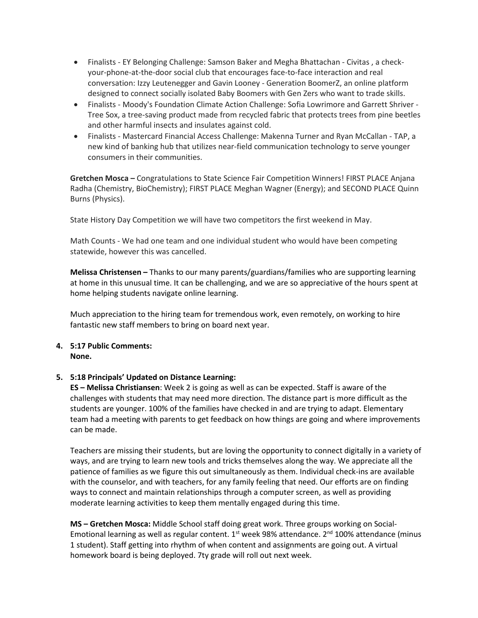- Finalists EY Belonging Challenge: Samson Baker and Megha Bhattachan Civitas , a checkyour-phone-at-the-door social club that encourages face-to-face interaction and real conversation: Izzy Leutenegger and Gavin Looney - Generation BoomerZ, an online platform designed to connect socially isolated Baby Boomers with Gen Zers who want to trade skills.
- Finalists Moody's Foundation Climate Action Challenge: Sofia Lowrimore and Garrett Shriver Tree Sox, a tree-saving product made from recycled fabric that protects trees from pine beetles and other harmful insects and insulates against cold.
- Finalists Mastercard Financial Access Challenge: Makenna Turner and Ryan McCallan TAP, a new kind of banking hub that utilizes near-field communication technology to serve younger consumers in their communities.

**Gretchen Mosca –** Congratulations to State Science Fair Competition Winners! FIRST PLACE Anjana Radha (Chemistry, BioChemistry); FIRST PLACE Meghan Wagner (Energy); and SECOND PLACE Quinn Burns (Physics).

State History Day Competition we will have two competitors the first weekend in May.

Math Counts - We had one team and one individual student who would have been competing statewide, however this was cancelled.

**Melissa Christensen –** Thanks to our many parents/guardians/families who are supporting learning at home in this unusual time. It can be challenging, and we are so appreciative of the hours spent at home helping students navigate online learning.

Much appreciation to the hiring team for tremendous work, even remotely, on working to hire fantastic new staff members to bring on board next year.

### **4. 5:17 Public Comments: None.**

### **5. 5:18 Principals' Updated on Distance Learning:**

**ES – Melissa Christiansen**: Week 2 is going as well as can be expected. Staff is aware of the challenges with students that may need more direction. The distance part is more difficult as the students are younger. 100% of the families have checked in and are trying to adapt. Elementary team had a meeting with parents to get feedback on how things are going and where improvements can be made.

Teachers are missing their students, but are loving the opportunity to connect digitally in a variety of ways, and are trying to learn new tools and tricks themselves along the way. We appreciate all the patience of families as we figure this out simultaneously as them. Individual check-ins are available with the counselor, and with teachers, for any family feeling that need. Our efforts are on finding ways to connect and maintain relationships through a computer screen, as well as providing moderate learning activities to keep them mentally engaged during this time.

**MS – Gretchen Mosca:** Middle School staff doing great work. Three groups working on Social-Emotional learning as well as regular content.  $1<sup>st</sup>$  week 98% attendance.  $2<sup>nd</sup>$  100% attendance (minus 1 student). Staff getting into rhythm of when content and assignments are going out. A virtual homework board is being deployed. 7ty grade will roll out next week.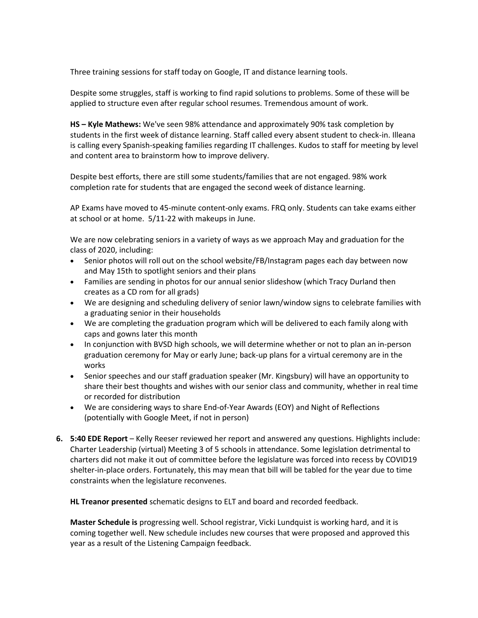Three training sessions for staff today on Google, IT and distance learning tools.

Despite some struggles, staff is working to find rapid solutions to problems. Some of these will be applied to structure even after regular school resumes. Tremendous amount of work.

**HS – Kyle Mathews:** We've seen 98% attendance and approximately 90% task completion by students in the first week of distance learning. Staff called every absent student to check-in. Illeana is calling every Spanish-speaking families regarding IT challenges. Kudos to staff for meeting by level and content area to brainstorm how to improve delivery.

Despite best efforts, there are still some students/families that are not engaged. 98% work completion rate for students that are engaged the second week of distance learning.

AP Exams have moved to 45-minute content-only exams. FRQ only. Students can take exams either at school or at home. 5/11-22 with makeups in June.

We are now celebrating seniors in a variety of ways as we approach May and graduation for the class of 2020, including:

- Senior photos will roll out on the school website/FB/Instagram pages each day between now and May 15th to spotlight seniors and their plans
- Families are sending in photos for our annual senior slideshow (which Tracy Durland then creates as a CD rom for all grads)
- We are designing and scheduling delivery of senior lawn/window signs to celebrate families with a graduating senior in their households
- We are completing the graduation program which will be delivered to each family along with caps and gowns later this month
- In conjunction with BVSD high schools, we will determine whether or not to plan an in-person graduation ceremony for May or early June; back-up plans for a virtual ceremony are in the works
- Senior speeches and our staff graduation speaker (Mr. Kingsbury) will have an opportunity to share their best thoughts and wishes with our senior class and community, whether in real time or recorded for distribution
- We are considering ways to share End-of-Year Awards (EOY) and Night of Reflections (potentially with Google Meet, if not in person)
- **6. 5:40 EDE Report** Kelly Reeser reviewed her report and answered any questions. Highlights include: Charter Leadership (virtual) Meeting 3 of 5 schools in attendance. Some legislation detrimental to charters did not make it out of committee before the legislature was forced into recess by COVID19 shelter-in-place orders. Fortunately, this may mean that bill will be tabled for the year due to time constraints when the legislature reconvenes.

**HL Treanor presented** schematic designs to ELT and board and recorded feedback.

**Master Schedule is** progressing well. School registrar, Vicki Lundquist is working hard, and it is coming together well. New schedule includes new courses that were proposed and approved this year as a result of the Listening Campaign feedback.